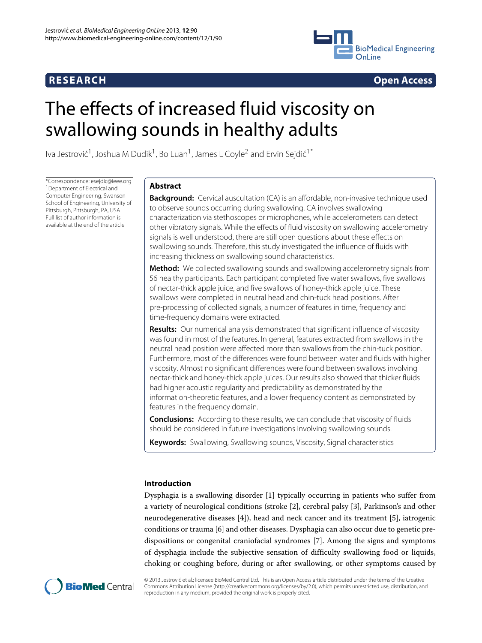

**RESEARCH Open Access**

# The effects of increased fluid viscosity on swallowing sounds in healthy adults

Iva Jestrović<sup>1</sup>, Joshua M Dudik<sup>1</sup>, Bo Luan<sup>1</sup>, James L Coyle<sup>2</sup> and Ervin Sejdić<sup>1\*</sup>

\*Correspondence: esejdic@ieee.org <sup>1</sup> Department of Electrical and Computer Engineering, Swanson School of Engineering, University of Pittsburgh, Pittsburgh, PA, USA Full list of author information is available at the end of the article

# **Abstract**

**Background:** Cervical auscultation (CA) is an affordable, non-invasive technique used to observe sounds occurring during swallowing. CA involves swallowing characterization via stethoscopes or microphones, while accelerometers can detect other vibratory signals. While the effects of fluid viscosity on swallowing accelerometry signals is well understood, there are still open questions about these effects on swallowing sounds. Therefore, this study investigated the influence of fluids with increasing thickness on swallowing sound characteristics.

**Method:** We collected swallowing sounds and swallowing accelerometry signals from 56 healthy participants. Each participant completed five water swallows, five swallows of nectar-thick apple juice, and five swallows of honey-thick apple juice. These swallows were completed in neutral head and chin-tuck head positions. After pre-processing of collected signals, a number of features in time, frequency and time-frequency domains were extracted.

**Results:** Our numerical analysis demonstrated that significant influence of viscosity was found in most of the features. In general, features extracted from swallows in the neutral head position were affected more than swallows from the chin-tuck position. Furthermore, most of the differences were found between water and fluids with higher viscosity. Almost no significant differences were found between swallows involving nectar-thick and honey-thick apple juices. Our results also showed that thicker fluids had higher acoustic regularity and predictability as demonstrated by the information-theoretic features, and a lower frequency content as demonstrated by features in the frequency domain.

**Conclusions:** According to these results, we can conclude that viscosity of fluids should be considered in future investigations involving swallowing sounds.

**Keywords:** Swallowing, Swallowing sounds, Viscosity, Signal characteristics

# **Introduction**

Dysphagia is a swallowing disorder [\[1\]](#page-15-0) typically occurring in patients who suffer from a variety of neurological conditions (stroke [\[2\]](#page-15-1), cerebral palsy [\[3\]](#page-15-2), Parkinson's and other neurodegenerative diseases [\[4\]](#page-15-3)), head and neck cancer and its treatment [\[5\]](#page-15-4), iatrogenic conditions or trauma [\[6\]](#page-15-5) and other diseases. Dysphagia can also occur due to genetic predispositions or congenital craniofacial syndromes [\[7\]](#page-15-6). Among the signs and symptoms of dysphagia include the subjective sensation of difficulty swallowing food or liquids, choking or coughing before, during or after swallowing, or other symptoms caused by



© 2013 Jestrovic et al.; licensee BioMed Central Ltd. This is an Open Access article distributed under the terms of the Creative ´ Commons Attribution License (http://creativecommons.org/licenses/by/2.0), which permits unrestricted use, distribution, and reproduction in any medium, provided the original work is properly cited.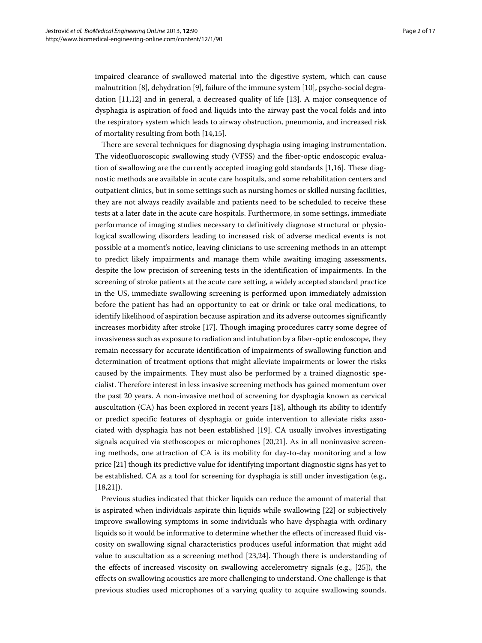impaired clearance of swallowed material into the digestive system, which can cause malnutrition [\[8\]](#page-15-7), dehydration [\[9\]](#page-15-8), failure of the immune system [\[10\]](#page-15-9), psycho-social degradation [\[11,](#page-15-10)[12\]](#page-15-11) and in general, a decreased quality of life [\[13\]](#page-15-12). A major consequence of dysphagia is aspiration of food and liquids into the airway past the vocal folds and into the respiratory system which leads to airway obstruction, pneumonia, and increased risk of mortality resulting from both [\[14](#page-15-13)[,15\]](#page-15-14).

There are several techniques for diagnosing dysphagia using imaging instrumentation. The videofluoroscopic swallowing study (VFSS) and the fiber-optic endoscopic evaluation of swallowing are the currently accepted imaging gold standards [\[1,](#page-15-0)[16\]](#page-15-15). These diagnostic methods are available in acute care hospitals, and some rehabilitation centers and outpatient clinics, but in some settings such as nursing homes or skilled nursing facilities, they are not always readily available and patients need to be scheduled to receive these tests at a later date in the acute care hospitals. Furthermore, in some settings, immediate performance of imaging studies necessary to definitively diagnose structural or physiological swallowing disorders leading to increased risk of adverse medical events is not possible at a moment's notice, leaving clinicians to use screening methods in an attempt to predict likely impairments and manage them while awaiting imaging assessments, despite the low precision of screening tests in the identification of impairments. In the screening of stroke patients at the acute care setting, a widely accepted standard practice in the US, immediate swallowing screening is performed upon immediately admission before the patient has had an opportunity to eat or drink or take oral medications, to identify likelihood of aspiration because aspiration and its adverse outcomes significantly increases morbidity after stroke [\[17\]](#page-15-16). Though imaging procedures carry some degree of invasiveness such as exposure to radiation and intubation by a fiber-optic endoscope, they remain necessary for accurate identification of impairments of swallowing function and determination of treatment options that might alleviate impairments or lower the risks caused by the impairments. They must also be performed by a trained diagnostic specialist. Therefore interest in less invasive screening methods has gained momentum over the past 20 years. A non-invasive method of screening for dysphagia known as cervical auscultation (CA) has been explored in recent years [\[18\]](#page-15-17), although its ability to identify or predict specific features of dysphagia or guide intervention to alleviate risks associated with dysphagia has not been established [\[19\]](#page-15-18). CA usually involves investigating signals acquired via stethoscopes or microphones [\[20,](#page-15-19)[21\]](#page-15-20). As in all noninvasive screening methods, one attraction of CA is its mobility for day-to-day monitoring and a low price [\[21\]](#page-15-20) though its predictive value for identifying important diagnostic signs has yet to be established. CA as a tool for screening for dysphagia is still under investigation (e.g., [\[18,](#page-15-17)[21\]](#page-15-20)).

Previous studies indicated that thicker liquids can reduce the amount of material that is aspirated when individuals aspirate thin liquids while swallowing [\[22\]](#page-15-21) or subjectively improve swallowing symptoms in some individuals who have dysphagia with ordinary liquids so it would be informative to determine whether the effects of increased fluid viscosity on swallowing signal characteristics produces useful information that might add value to auscultation as a screening method [\[23,](#page-16-0)[24\]](#page-16-1). Though there is understanding of the effects of increased viscosity on swallowing accelerometry signals (e.g., [\[25\]](#page-16-2)), the effects on swallowing acoustics are more challenging to understand. One challenge is that previous studies used microphones of a varying quality to acquire swallowing sounds.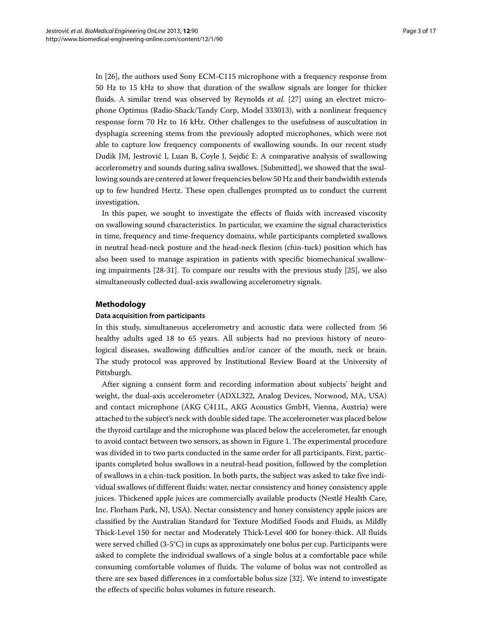In [\[26\]](#page-16-3), the authors used Sony ECM-C115 microphone with a frequency response from 50 Hz to 15 kHz to show that duration of the swallow signals are longer for thicker fluids. A similar trend was observed by Reynolds *et al.* [\[27\]](#page-16-4) using an electret microphone Optimus (Radio-Shack/Tandy Corp, Model 333013), with a nonlinear frequency response form 70 Hz to 16 kHz. Other challenges to the usefulness of auscultation in dysphagia screening stems from the previously adopted microphones, which were not able to capture low frequency components of swallowing sounds. In our recent study Dudik JM, Jestrović I, Luan B, Coyle J, Sejdić E: A comparative analysis of swallowing accelerometry and sounds during saliva swallows. [Submitted], we showed that the swallowing sounds are centered at lower frequencies below 50 Hz and their bandwidth extends up to few hundred Hertz. These open challenges prompted us to conduct the current investigation.

In this paper, we sought to investigate the effects of fluids with increased viscosity on swallowing sound characteristics. In particular, we examine the signal characteristics in time, frequency and time-frequency domains, while participants completed swallows in neutral head-neck posture and the head-neck flexion (chin-tuck) position which has also been used to manage aspiration in patients with specific biomechanical swallowing impairments [\[28](#page-16-5)[-31\]](#page-16-6). To compare our results with the previous study [\[25\]](#page-16-2), we also simultaneously collected dual-axis swallowing accelerometry signals.

# **Methodology**

#### **Data acquisition from participants**

In this study, simultaneous accelerometry and acoustic data were collected from 56 healthy adults aged 18 to 65 years. All subjects had no previous history of neurological diseases, swallowing difficulties and/or cancer of the mouth, neck or brain. The study protocol was approved by Institutional Review Board at the University of Pittsburgh.

After signing a consent form and recording information about subjects' height and weight, the dual-axis accelerometer (ADXL322, Analog Devices, Norwood, MA, USA) and contact microphone (AKG C411L, AKG Acoustics GmbH, Vienna, Austria) were attached to the subject's neck with double sided tape. The accelerometer was placed below the thyroid cartilage and the microphone was placed below the accelerometer, far enough to avoid contact between two sensors, as shown in Figure [1.](#page-3-0) The experimental procedure was divided in to two parts conducted in the same order for all participants. First, participants completed bolus swallows in a neutral-head position, followed by the completion of swallows in a chin-tuck position. In both parts, the subject was asked to take five individual swallows of different fluids: water, nectar consistency and honey consistency apple juices. Thickened apple juices are commercially available products (Nestlé Health Care, Inc. Florham Park, NJ, USA). Nectar consistency and honey consistency apple juices are classified by the Australian Standard for Texture Modified Foods and Fluids, as Mildly Thick-Level 150 for nectar and Moderately Thick-Level 400 for honey-thick. All fluids were served chilled (3-5°C) in cups as approximately one bolus per cup. Participants were asked to complete the individual swallows of a single bolus at a comfortable pace while consuming comfortable volumes of fluids. The volume of bolus was not controlled as there are sex based differences in a comfortable bolus size [\[32\]](#page-16-7). We intend to investigate the effects of specific bolus volumes in future research.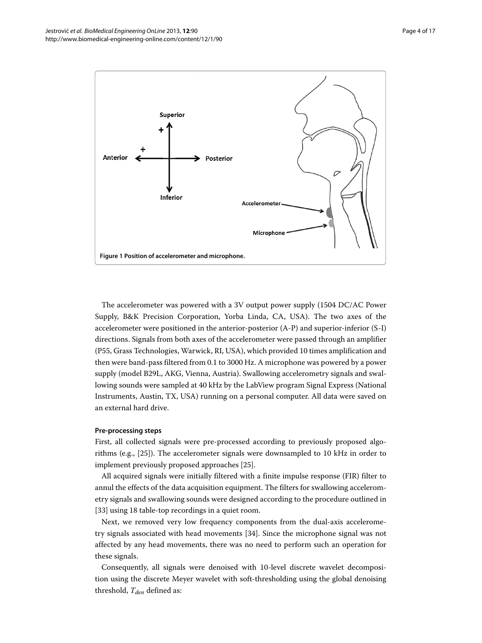

<span id="page-3-0"></span>The accelerometer was powered with a 3V output power supply (1504 DC/AC Power Supply, B&K Precision Corporation, Yorba Linda, CA, USA). The two axes of the accelerometer were positioned in the anterior-posterior (A-P) and superior-inferior (S-I) directions. Signals from both axes of the accelerometer were passed through an amplifier (P55, Grass Technologies, Warwick, RI, USA), which provided 10 times amplification and then were band-pass filtered from 0.1 to 3000 Hz. A microphone was powered by a power supply (model B29L, AKG, Vienna, Austria). Swallowing accelerometry signals and swallowing sounds were sampled at 40 kHz by the LabView program Signal Express (National Instruments, Austin, TX, USA) running on a personal computer. All data were saved on an external hard drive.

#### **Pre-processing steps**

First, all collected signals were pre-processed according to previously proposed algorithms (e.g., [\[25\]](#page-16-2)). The accelerometer signals were downsampled to 10 kHz in order to implement previously proposed approaches [\[25\]](#page-16-2).

All acquired signals were initially filtered with a finite impulse response (FIR) filter to annul the effects of the data acquisition equipment. The filters for swallowing accelerometry signals and swallowing sounds were designed according to the procedure outlined in [\[33\]](#page-16-8) using 18 table-top recordings in a quiet room.

Next, we removed very low frequency components from the dual-axis accelerometry signals associated with head movements [\[34\]](#page-16-9). Since the microphone signal was not affected by any head movements, there was no need to perform such an operation for these signals.

Consequently, all signals were denoised with 10-level discrete wavelet decomposition using the discrete Meyer wavelet with soft-thresholding using the global denoising threshold,  $T_{den}$  defined as: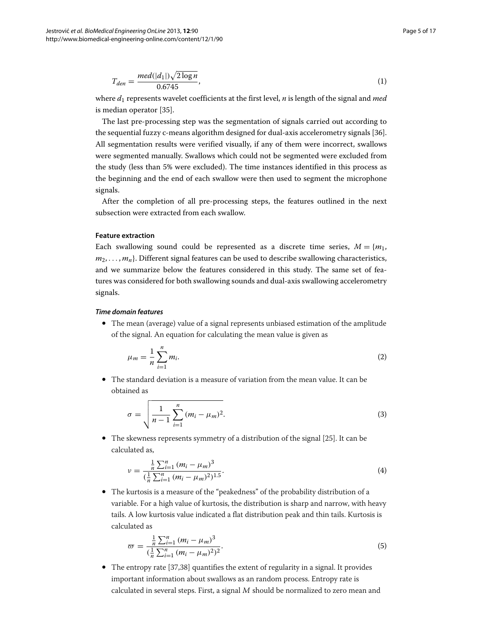$$
T_{den} = \frac{med(|d_1|)\sqrt{2\log n}}{0.6745},\tag{1}
$$

where *d*<sup>1</sup> represents wavelet coefficients at the first level, *n* is length of the signal and *med* is median operator [\[35\]](#page-16-10).

The last pre-processing step was the segmentation of signals carried out according to the sequential fuzzy c-means algorithm designed for dual-axis accelerometry signals [\[36\]](#page-16-11). All segmentation results were verified visually, if any of them were incorrect, swallows were segmented manually. Swallows which could not be segmented were excluded from the study (less than 5% were excluded). The time instances identified in this process as the beginning and the end of each swallow were then used to segment the microphone signals.

After the completion of all pre-processing steps, the features outlined in the next subsection were extracted from each swallow.

#### **Feature extraction**

Each swallowing sound could be represented as a discrete time series,  $M = \{m_1, m_2, m_3\}$  $m_2, \ldots, m_n$ . Different signal features can be used to describe swallowing characteristics, and we summarize below the features considered in this study. The same set of features was considered for both swallowing sounds and dual-axis swallowing accelerometry signals.

# *Time domain features*

• The mean (average) value of a signal represents unbiased estimation of the amplitude of the signal. An equation for calculating the mean value is given as

$$
\mu_m = \frac{1}{n} \sum_{i=1}^n m_i. \tag{2}
$$

• The standard deviation is a measure of variation from the mean value. It can be obtained as

$$
\sigma = \sqrt{\frac{1}{n-1} \sum_{i=1}^{n} (m_i - \mu_m)^2}.
$$
 (3)

• The skewness represents symmetry of a distribution of the signal [\[25\]](#page-16-2). It can be calculated as,

$$
\nu = \frac{\frac{1}{n} \sum_{i=1}^{n} (m_i - \mu_m)^3}{(\frac{1}{n} \sum_{i=1}^{n} (m_i - \mu_m)^2)^{1.5}}.
$$
\n(4)

• The kurtosis is a measure of the "peakedness" of the probability distribution of a variable. For a high value of kurtosis, the distribution is sharp and narrow, with heavy tails. A low kurtosis value indicated a flat distribution peak and thin tails. Kurtosis is calculated as

$$
\varpi = \frac{\frac{1}{n}\sum_{i=1}^{n}(m_i - \mu_m)^3}{(\frac{1}{n}\sum_{i=1}^{n}(m_i - \mu_m)^2)^2}.
$$
\n(5)

• The entropy rate [\[37](#page-16-12)[,38\]](#page-16-13) quantifies the extent of regularity in a signal. It provides important information about swallows as an random process. Entropy rate is calculated in several steps. First, a signal <sup>M</sup> should be normalized to zero mean and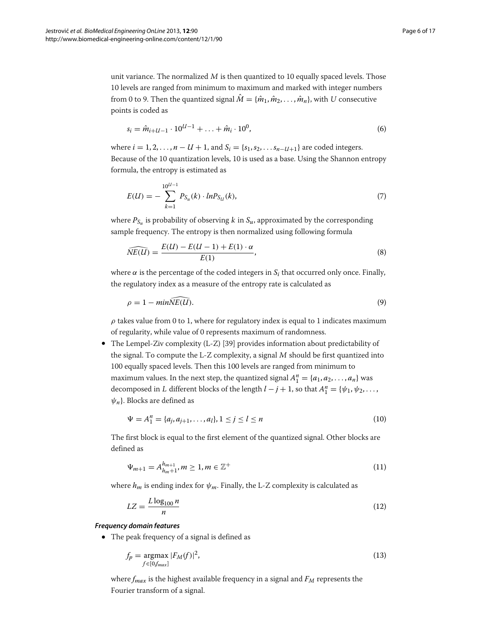unit variance. The normalized  $M$  is then quantized to 10 equally spaced levels. Those 10 levels are ranged from minimum to maximum and marked with integer numbers from 0 to 9. Then the quantized signal  $\hat{M} = {\hat{m}_1, \hat{m}_2, \dots, \hat{m}_n}$ , with U consecutive points is coded as

$$
s_i = \hat{m}_{i+U-1} \cdot 10^{U-1} + \ldots + \hat{m}_i \cdot 10^0, \tag{6}
$$

where  $i = 1, 2, ..., n - U + 1$ , and  $S_i = \{s_1, s_2, ..., s_{n-U+1}\}$  are coded integers. Because of the 10 quantization levels, 10 is used as a base. Using the Shannon entropy formula, the entropy is estimated as

$$
E(U) = -\sum_{k=1}^{10^{U-1}} P_{S_u}(k) \cdot ln P_{S_U}(k),
$$
\n(7)

where  $P_{S_u}$  is probability of observing k in  $S_u$ , approximated by the corresponding sample frequency. The entropy is then normalized using following formula

$$
\widehat{NE(U)} = \frac{E(U) - E(U-1) + E(1) \cdot \alpha}{E(1)},
$$
\n(8)

where  $\alpha$  is the percentage of the coded integers in  $S_i$  that occurred only once. Finally, the regulatory index as a measure of the entropy rate is calculated as

$$
\rho = 1 - \min \widehat{NE(U)}.
$$
\n(9)

 $\rho$  takes value from 0 to 1, where for regulatory index is equal to 1 indicates maximum of regularity, while value of 0 represents maximum of randomness.

• The Lempel-Ziv complexity (L-Z) [\[39\]](#page-16-14) provides information about predictability of the signal. To compute the L-Z complexity, a signal <sup>M</sup> should be first quantized into 100 equally spaced levels. Then this 100 levels are ranged from minimum to maximum values. In the next step, the quantized signal  $A_1^n = \{a_1, a_2, \ldots, a_n\}$  was decomposed in L different blocks of the length  $l - j + 1$ , so that  $A_1^n = {\psi_1, \psi_2, \ldots, \psi_n}$ *ψn*}. Blocks are defined as

$$
\Psi = A_1^n = \{a_j, a_{j+1}, \dots, a_l\}, 1 \le j \le l \le n
$$
\n(10)

The first block is equal to the first element of the quantized signal. Other blocks are defined as

$$
\Psi_{m+1} = A_{h_m+1}^{h_{m+1}}, m \ge 1, m \in \mathbb{Z}^+ \tag{11}
$$

where  $h_m$  is ending index for  $\psi_m$ . Finally, the L-Z complexity is calculated as

$$
LZ = \frac{L\log_{100} n}{n} \tag{12}
$$

# *Frequency domain features*

• The peak frequency of a signal is defined as

$$
f_p = \underset{f \in [0, f_{max}]}{\operatorname{argmax}} |F_M(f)|^2,\tag{13}
$$

where  $f_{max}$  is the highest available frequency in a signal and  $F_M$  represents the Fourier transform of a signal.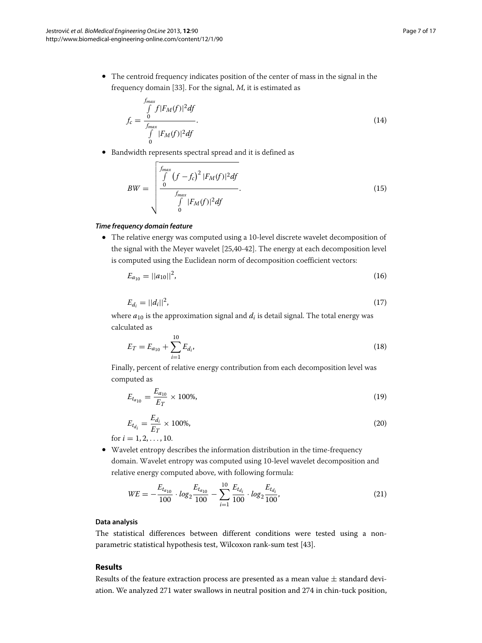• The centroid frequency indicates position of the center of mass in the signal in the frequency domain [\[33\]](#page-16-8). For the signal, <sup>M</sup>, it is estimated as

$$
f_c = \frac{\int_{f_{max}}^{f_{max}} f|F_M(f)|^2 df}{\int_{0}^{f_{max}} |F_M(f)|^2 df}.
$$
\n(14)

• Bandwidth represents spectral spread and it is defined as

$$
BW = \begin{bmatrix} f_{max} \\ \int_{0}^{f_{max}} (f - f_c)^2 |F_M(f)|^2 df \\ \frac{f_{max}}{\int_{0}^{f_{max}} |F_M(f)|^2 df} \end{bmatrix}.
$$
 (15)

# *Time frequency domain feature*

• The relative energy was computed using a 10-level discrete wavelet decomposition of the signal with the Meyer wavelet [\[25,](#page-16-2)[40-](#page-16-15)[42\]](#page-16-16). The energy at each decomposition level is computed using the Euclidean norm of decomposition coefficient vectors:

$$
E_{a_{10}} = ||a_{10}||^2, \tag{16}
$$

$$
E_{d_i} = ||d_i||^2, \tag{17}
$$

where  $a_{10}$  is the approximation signal and  $d_i$  is detail signal. The total energy was calculated as

$$
E_T = E_{a_{10}} + \sum_{i=1}^{10} E_{d_i},
$$
\n(18)

Finally, percent of relative energy contribution from each decomposition level was computed as

$$
E_{t_{a_{10}}} = \frac{E_{a_{10}}}{E_T} \times 100\%,\tag{19}
$$

$$
E_{t_{d_i}} = \frac{E_{d_i}}{E_T} \times 100\%,
$$
\n
$$
= 1.2 \quad 10
$$
\n(20)

for  $i = 1, 2, \ldots, 10$ .

• Wavelet entropy describes the information distribution in the time-frequency domain. Wavelet entropy was computed using 10-level wavelet decomposition and relative energy computed above, with following formula:

$$
WE = -\frac{E_{t_{a_{10}}}}{100} \cdot \log_2 \frac{E_{t_{a_{10}}}}{100} - \sum_{i=1}^{10} \frac{E_{t_{d_i}}}{100} \cdot \log_2 \frac{E_{t_{d_i}}}{100},
$$
\n(21)

#### **Data analysis**

The statistical differences between different conditions were tested using a nonparametric statistical hypothesis test, Wilcoxon rank-sum test [\[43\]](#page-16-17).

# **Results**

Results of the feature extraction process are presented as a mean value  $\pm$  standard deviation. We analyzed 271 water swallows in neutral position and 274 in chin-tuck position,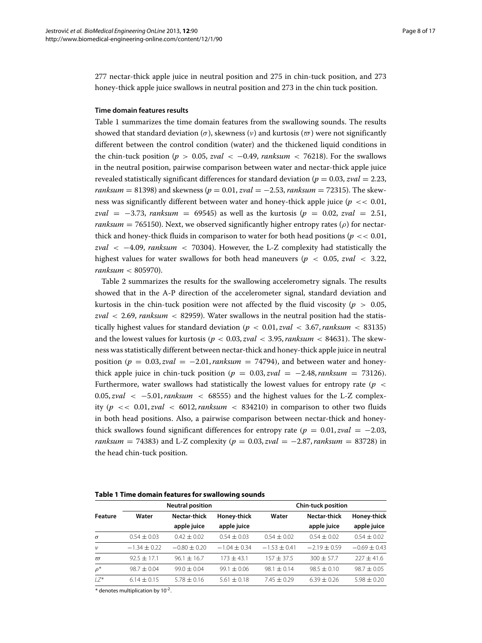277 nectar-thick apple juice in neutral position and 275 in chin-tuck position, and 273 honey-thick apple juice swallows in neutral position and 273 in the chin tuck position.

# **Time domain features results**

Table [1](#page-7-0) summarizes the time domain features from the swallowing sounds. The results showed that standard deviation ( $\sigma$ ), skewness ( $\nu$ ) and kurtosis ( $\sigma$ ) were not significantly different between the control condition (water) and the thickened liquid conditions in the chin-tuck position ( $p > 0.05$ ,  $zval < -0.49$ ,  $ranksum < 76218$ ). For the swallows in the neutral position, pairwise comparison between water and nectar-thick apple juice revealed statistically significant differences for standard deviation ( $p = 0.03$ ,  $zval = 2.23$ , *ranksum* = 81398) and skewness (*p* = 0.01, *zval* = −2.53, *ranksum* = 72315). The skewness was significantly different between water and honey-thick apple juice (*p <<* 0.01, *zval* = −3.73, *ranksum* = 69545) as well as the kurtosis (*p* = 0.02, *zval* = 2.51, *ranksum* = 765150). Next, we observed significantly higher entropy rates ( $\rho$ ) for nectarthick and honey-thick fluids in comparison to water for both head positions ( $p \ll 0.01$ , *zval <* −4.09, *ranksum <* 70304). However, the L-Z complexity had statistically the highest values for water swallows for both head maneuvers ( $p < 0.05$ , *zval*  $< 3.22$ , *ranksum <* 805970).

Table [2](#page-8-0) summarizes the results for the swallowing accelerometry signals. The results showed that in the A-P direction of the accelerometer signal, standard deviation and kurtosis in the chin-tuck position were not affected by the fluid viscosity ( $p > 0.05$ , *zval <* 2.69, *ranksum <* 82959). Water swallows in the neutral position had the statistically highest values for standard deviation  $(p < 0.01, zval < 3.67, ranksum < 83135)$ and the lowest values for kurtosis  $(p < 0.03, zval < 3.95, ranksum < 84631)$ . The skewness was statistically different between nectar-thick and honey-thick apple juice in neutral position  $(p = 0.03, zval = -2.01,$ *ranksum* = 74794), and between water and honeythick apple juice in chin-tuck position  $(p = 0.03, zval = -2.48, ranksum = 73126)$ . Furthermore, water swallows had statistically the lowest values for entropy rate *(p <* 0.05, *zval <* −5.01,*ranksum <* 68555*)* and the highest values for the L-Z complexity  $(p \ll 0.01, zval \ll 6012, ranksum \ll 834210)$  in comparison to other two fluids in both head positions. Also, a pairwise comparison between nectar-thick and honeythick swallows found significant differences for entropy rate  $(p = 0.01, zval = -2.03,$ *ranksum* = 74383) and L-Z complexity  $(p = 0.03, zval = -2.87,$  *ranksum* = 83728) in the head chin-tuck position.

<span id="page-7-0"></span>

| Table 1 Time domain features for swallowing sounds |  |
|----------------------------------------------------|--|
|----------------------------------------------------|--|

| Feature        | <b>Neutral position</b> |                  |                  | <b>Chin-tuck position</b> |                  |                  |
|----------------|-------------------------|------------------|------------------|---------------------------|------------------|------------------|
|                | Water                   | Nectar-thick     | Honey-thick      | Water                     | Nectar-thick     | Honey-thick      |
|                |                         | apple juice      | apple juice      |                           | apple juice      | apple juice      |
| $\sigma$       | $0.54 \pm 0.03$         | $0.42 \pm 0.02$  | $0.54 \pm 0.03$  | $0.54 \pm 0.02$           | $0.54 \pm 0.02$  | $0.54 \pm 0.02$  |
| $\nu$          | $-1.34 \pm 0.22$        | $-0.80 \pm 0.20$ | $-1.04 \pm 0.34$ | $-1.53 \pm 0.41$          | $-2.19 \pm 0.59$ | $-0.69 \pm 0.43$ |
| $\overline{a}$ | $92.5 \pm 17.1$         | $96.1 + 16.7$    | $173 + 43.1$     | $157 + 37.5$              | $300 + 57.7$     | $227 + 41.6$     |
| $\rho^*$       | $98.7 + 0.04$           | $99.0 \pm 0.04$  | $99.1 \pm 0.06$  | $98.1 \pm 0.14$           | $98.5 \pm 0.10$  | $98.7 \pm 0.05$  |
| $17*$          | $6.14 \pm 0.15$         | $5.78 \pm 0.16$  | $5.61 \pm 0.18$  | $7.45 \pm 0.29$           | $6.39 \pm 0.26$  | $5.98 \pm 0.20$  |

\* denotes multiplication by 10-2.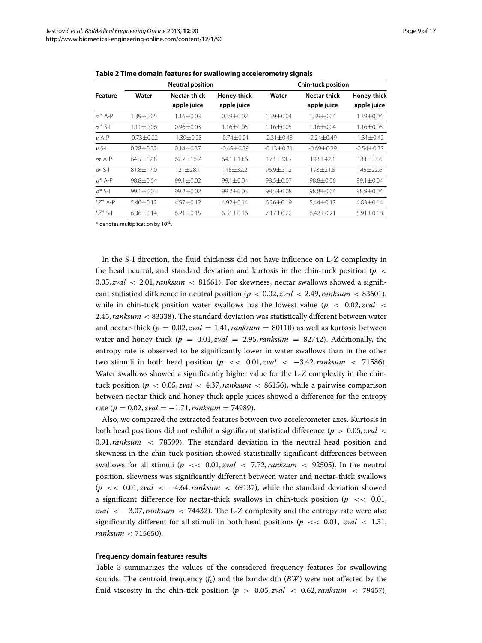<span id="page-8-0"></span>

| Feature        | <b>Neutral position</b> |                             |                            | <b>Chin-tuck position</b> |                             |                            |                |
|----------------|-------------------------|-----------------------------|----------------------------|---------------------------|-----------------------------|----------------------------|----------------|
|                | Water                   | Nectar-thick<br>apple juice | Honey-thick<br>apple juice | Water                     | Nectar-thick<br>apple juice | Honey-thick<br>apple juice |                |
|                |                         |                             |                            |                           |                             |                            | $\sigma^*$ A-P |
| $\sigma^*$ S-I | $1.11 \pm 0.06$         | $0.96 \pm 0.03$             | $1.16 \pm 0.05$            | $1.16 \pm 0.05$           | $1.16 \pm 0.04$             | $1.16 \pm 0.05$            |                |
| $\nu$ A-P      | $-0.73 \pm 0.22$        | -1.39±0.23                  | $-0.74 \pm 0.21$           | $-2.31 \pm 0.43$          | $-2.24 + 0.49$              | $-1.31 \pm 0.42$           |                |
| $\nu$ S-I      | $0.28 + 0.32$           | $0.14 + 0.37$               | $-0.49 + 0.39$             | $-0.13 + 0.31$            | $-0.69 + 0.29$              | $-0.54 + 0.37$             |                |
| $\varpi$ A-P   | $64.5 + 12.8$           | $62.7 + 16.7$               | 64.1±13.6                  | 173±30.5                  | 193±42.1                    | 183±33.6                   |                |
| $\pi$ S-I      | $81.8 + 17.0$           | $121 + 28.1$                | 118±32.2                   | $96.9 + 21.2$             | $193 + 21.5$                | $145 + 22.6$               |                |
| $\rho^*$ A-P   | $98.8 + 0.04$           | $99.1 + 0.02$               | $99.1 + 0.04$              | $98.5 + 0.07$             | $98.8 + 0.06$               | $99.1 + 0.04$              |                |
| $\rho^*$ S-I   | $99.1 \pm 0.03$         | $99.2 + 0.02$               | 99.2±0.03                  | 98.5±0.08                 | 98.8±0.04                   | 98.9±0.04                  |                |
| $17*$ A-P      | $5.46 + 0.12$           | $4.97 + 0.12$               | 4.92±0.14                  | $6.26 \pm 0.19$           | 5.44±0.17                   | $4.83 \pm 0.14$            |                |
| $17*$ S-I      | $6.36 \pm 0.14$         | $6.21 \pm 0.15$             | $6.31 \pm 0.16$            | 7.17±0.22                 | $6.42 \pm 0.21$             | 5.91±0.18                  |                |
|                |                         |                             |                            |                           |                             |                            |                |

**Table 2 Time domain features for swallowing accelerometry signals**

 $*$  denotes multiplication by  $10^{-2}$ .

In the S-I direction, the fluid thickness did not have influence on L-Z complexity in the head neutral, and standard deviation and kurtosis in the chin-tuck position *(p <* 0.05, *zval <* 2.01,*ranksum <* 81661*)*. For skewness, nectar swallows showed a significant statistical difference in neutral position  $(p < 0.02, zval < 2.49, ranksum < 83601)$ , while in chin-tuck position water swallows has the lowest value  $(p \lt 0.02, zval \lt 0.02)$ 2.45,*ranksum <* 83338*)*. The standard deviation was statistically different between water and nectar-thick  $(p = 0.02, zval = 1.41, ranksum = 80110)$  as well as kurtosis between water and honey-thick  $(p = 0.01, zval = 2.95, ranksum = 82742)$ . Additionally, the entropy rate is observed to be significantly lower in water swallows than in the other two stimuli in both head position *(p <<* 0.01, *zval <* −3.42,*ranksum <* 71586*)*. Water swallows showed a significantly higher value for the L-Z complexity in the chintuck position  $(p < 0.05, zval < 4.37, ranksum < 86156)$ , while a pairwise comparison between nectar-thick and honey-thick apple juices showed a difference for the entropy rate  $(p = 0.02, zval = -1.71, ranksum = 74989)$ .

Also, we compared the extracted features between two accelerometer axes. Kurtosis in both head positions did not exhibit a significant statistical difference *(p >* 0.05, *zval <* 0.91,*ranksum <* 78599*)*. The standard deviation in the neutral head position and skewness in the chin-tuck position showed statistically significant differences between swallows for all stimuli ( $p \ll 0.01$ , *zval*  $\ll 7.72$ , *ranksum*  $\ll 92505$ ). In the neutral position, skewness was significantly different between water and nectar-thick swallows (*p <<* 0.01, *zval <* −4.64,*ranksum <* 69137), while the standard deviation showed a significant difference for nectar-thick swallows in chin-tuck position ( $p \ll 0.01$ , *zval <* −3.07,*ranksum <* 74432). The L-Z complexity and the entropy rate were also significantly different for all stimuli in both head positions ( $p \ll 0.01$ ,  $zval \ll 1.31$ , *ranksum <* 715650).

#### **Frequency domain features results**

Table [3](#page-9-0) summarizes the values of the considered frequency features for swallowing sounds. The centroid frequency  $(f_c)$  and the bandwidth  $(BW)$  were not affected by the fluid viscosity in the chin-tick position ( $p > 0.05$ , *zval*  $\langle$  0.62, *ranksum*  $\langle$  79457),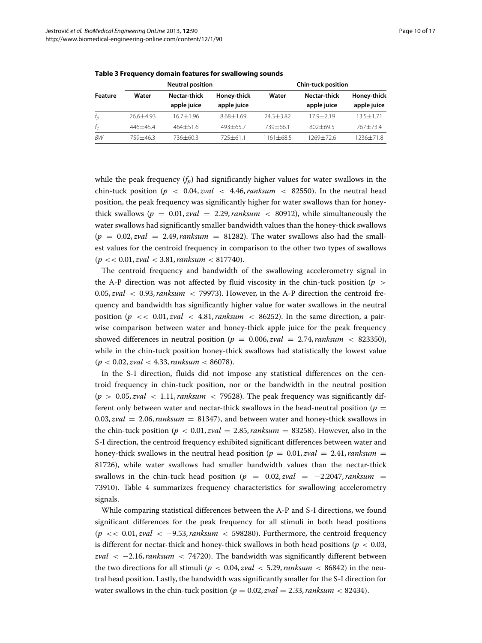<span id="page-9-0"></span>

|                   | <b>Neutral position</b> |               |               | <b>Chin-tuck position</b> |               |               |  |
|-------------------|-------------------------|---------------|---------------|---------------------------|---------------|---------------|--|
| <b>Feature</b>    | Water                   | Nectar-thick  | Honey-thick   | Water                     | Nectar-thick  | Honey-thick   |  |
|                   |                         | apple juice   | apple juice   |                           | apple juice   | apple juice   |  |
| $f_{\mathcal{D}}$ | $26.6 + 4.93$           | $16.7 + 1.96$ | $8.68 + 1.69$ | $24.3 + 3.82$             | $17.9 + 2.19$ | $13.5 + 1.71$ |  |
| $f_c$             | $446 + 45.4$            | $464 + 51.6$  | $493 + 65.7$  | $739 + 66.1$              | $802 + 69.5$  | $767 + 73.4$  |  |
| BW                | $759 + 46.3$            | 736+60.3      | $725 + 61.1$  | $1161 + 68.5$             | 1269+72.6     | 1236+71.8     |  |

**Table 3 Frequency domain features for swallowing sounds**

while the peak frequency  $(f_p)$  had significantly higher values for water swallows in the chin-tuck position  $(p < 0.04, zval < 4.46, ranksum < 82550)$ . In the neutral head position, the peak frequency was significantly higher for water swallows than for honeythick swallows ( $p = 0.01$ ,  $zval = 2.29$ ,  $ranksum < 80912$ ), while simultaneously the water swallows had significantly smaller bandwidth values than the honey-thick swallows  $(p = 0.02, zval = 2.49, ranksum = 81282)$ . The water swallows also had the smallest values for the centroid frequency in comparison to the other two types of swallows *(p <<* 0.01, *zval <* 3.81,*ranksum <* 817740*)*.

The centroid frequency and bandwidth of the swallowing accelerometry signal in the A-P direction was not affected by fluid viscosity in the chin-tuck position (*p >* 0.05, *zval <* 0.93,*ranksum <* 79973). However, in the A-P direction the centroid frequency and bandwidth has significantly higher value for water swallows in the neutral position  $(p \ll 0.01, zval \ll 4.81, ranksum \ll 86252)$ . In the same direction, a pairwise comparison between water and honey-thick apple juice for the peak frequency showed differences in neutral position ( $p = 0.006$ , *zval* = 2.74, *ranksum* < 823350), while in the chin-tuck position honey-thick swallows had statistically the lowest value *(p <* 0.02, *zval <* 4.33,*ranksum <* 86078*)*.

In the S-I direction, fluids did not impose any statistical differences on the centroid frequency in chin-tuck position, nor or the bandwidth in the neutral position  $(p > 0.05, zval < 1.11,$ *ranksum* < 79528). The peak frequency was significantly different only between water and nectar-thick swallows in the head-neutral position  $(p =$  $0.03, zval = 2.06,$  ranksum = 81347), and between water and honey-thick swallows in the chin-tuck position  $(p < 0.01, zval = 2.85, ranksum = 83258)$ . However, also in the S-I direction, the centroid frequency exhibited significant differences between water and honey-thick swallows in the neutral head position ( $p = 0.01$ ,  $zval = 2.41$ , ranksum = 81726), while water swallows had smaller bandwidth values than the nectar-thick swallows in the chin-tuck head position  $(p = 0.02, zval = -2.2047,$  ranksum = 73910*)*. Table [4](#page-10-0) summarizes frequency characteristics for swallowing accelerometry signals.

While comparing statistical differences between the A-P and S-I directions, we found significant differences for the peak frequency for all stimuli in both head positions  $(p \ll 0.01, zval \ll -9.53, ranksum \ll 598280)$ . Furthermore, the centroid frequency is different for nectar-thick and honey-thick swallows in both head positions  $(p < 0.03$ , *zval <* −2.16,*ranksum <* 74720*)*. The bandwidth was significantly different between the two directions for all stimuli ( $p < 0.04$ , *zval*  $< 5.29$ , *ranksum*  $< 86842$ ) in the neutral head position. Lastly, the bandwidth was significantly smaller for the S-I direction for water swallows in the chin-tuck position  $(p = 0.02, zval = 2.33, ranksum < 82434)$ .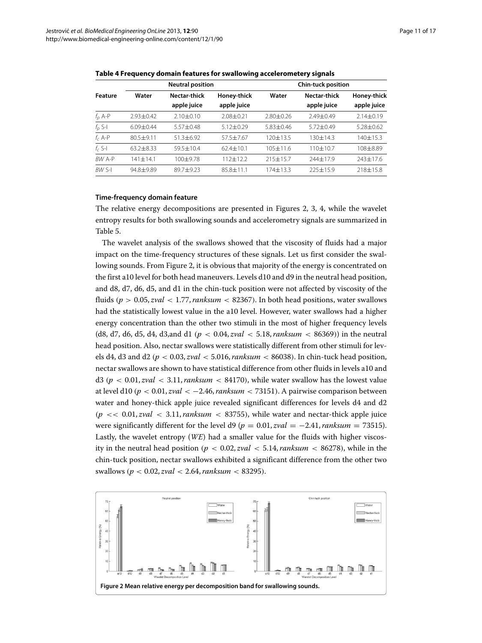<span id="page-10-0"></span>

| Feature   | <b>Neutral position</b> |                 |               | <b>Chin-tuck position</b> |                 |                 |  |
|-----------|-------------------------|-----------------|---------------|---------------------------|-----------------|-----------------|--|
|           | Water                   | Nectar-thick    | Honey-thick   | Water                     | Nectar-thick    | Honey-thick     |  |
|           |                         | apple juice     | apple juice   |                           | apple juice     | apple juice     |  |
| $f_p$ A-P | $2.93 + 0.42$           | $2.10 \pm 0.10$ | $2.08 + 0.21$ | $2.80 + 0.26$             | $7.49 + 0.49$   | $2.14 \pm 0.19$ |  |
| $f_p$ S-I | $6.09 + 0.44$           | $5.57 + 0.48$   | $5.12 + 0.29$ | $5.83 + 0.46$             | $5.72 \pm 0.49$ | $5.28 + 0.62$   |  |
| $f_c$ A-P | $80.5 + 9.11$           | $51.3 + 6.92$   | $57.5 + 7.67$ | $120 + 13.5$              | $130 + 14.3$    | $140 + 15.3$    |  |
| $f_c$ S-I | $63.2 \pm 8.33$         | $59.5 + 10.4$   | $62.4 + 10.1$ | $105 + 11.6$              | $110+10.7$      | 108±8.89        |  |
| BW A-P    | $141 + 14.1$            | $100 + 9.78$    | $112 + 122$   | $215 + 15.7$              | $744 + 17.9$    | 243±17.6        |  |
| BW S-I    | $94.8 + 9.89$           | $89.7 + 9.23$   | $85.8 + 11.1$ | $174 + 13.3$              | $225 + 15.9$    | $718 + 15.8$    |  |

**Table 4 Frequency domain features for swallowing accelerometery signals**

#### **Time-frequency domain feature**

The relative energy decompositions are presented in Figures [2,](#page-10-1) [3,](#page-11-0) [4,](#page-11-1) while the wavelet entropy results for both swallowing sounds and accelerometry signals are summarized in Table [5.](#page-12-0)

The wavelet analysis of the swallows showed that the viscosity of fluids had a major impact on the time-frequency structures of these signals. Let us first consider the swallowing sounds. From Figure [2,](#page-10-1) it is obvious that majority of the energy is concentrated on the first a10 level for both head maneuvers. Levels d10 and d9 in the neutral head position, and d8, d7, d6, d5, and d1 in the chin-tuck position were not affected by viscosity of the fluids  $(p > 0.05, zval < 1.77, ranksum < 82367)$ . In both head positions, water swallows had the statistically lowest value in the a10 level. However, water swallows had a higher energy concentration than the other two stimuli in the most of higher frequency levels (d8, d7, d6, d5, d4, d3,and d1 ( $p < 0.04$ , *zval*  $< 5.18$ , *ranksum*  $< 86369$ )) in the neutral head position. Also, nectar swallows were statistically different from other stimuli for levels d4, d3 and d2 *(p <* 0.03, *zval <* 5.016,*ranksum <* 86038*)*. In chin-tuck head position, nectar swallows are shown to have statistical difference from other fluids in levels a10 and d3 ( $p < 0.01, zval < 3.11, ranksum < 84170$ ), while water swallow has the lowest value at level d10  $(p < 0.01, zval < -2.46, ranksum < 73151)$ . A pairwise comparison between water and honey-thick apple juice revealed significant differences for levels d4 and d2  $(p \ll 0.01, zval < 3.11, ranksum < 83755)$ , while water and nectar-thick apple juice were significantly different for the level  $d9 (p = 0.01, zval = -2.41, ranksum = 73515)$ . Lastly, the wavelet entropy (*WE*) had a smaller value for the fluids with higher viscosity in the neutral head position  $(p < 0.02, zval < 5.14, ranksum < 86278)$ , while in the chin-tuck position, nectar swallows exhibited a significant difference from the other two swallows *(p <* 0.02, *zval <* 2.64,*ranksum <* 83295*)*.

<span id="page-10-1"></span>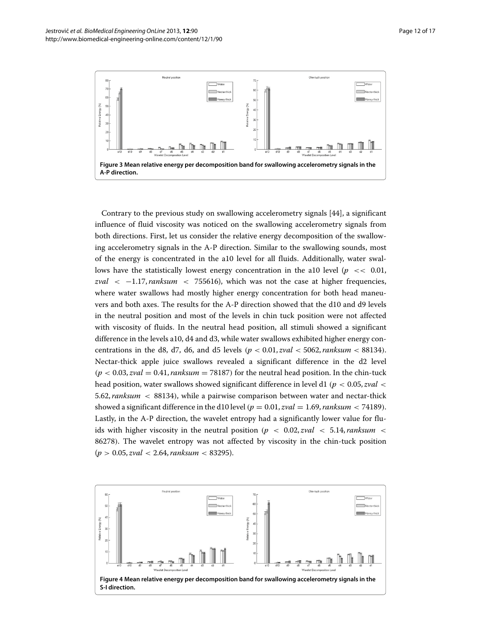

<span id="page-11-0"></span>Contrary to the previous study on swallowing accelerometry signals [\[44\]](#page-16-18), a significant influence of fluid viscosity was noticed on the swallowing accelerometry signals from both directions. First, let us consider the relative energy decomposition of the swallowing accelerometry signals in the A-P direction. Similar to the swallowing sounds, most of the energy is concentrated in the a10 level for all fluids. Additionally, water swallows have the statistically lowest energy concentration in the a10 level ( $p \ll 0.01$ , *zval <* −1.17,*ranksum <* 755616), which was not the case at higher frequencies, where water swallows had mostly higher energy concentration for both head maneuvers and both axes. The results for the A-P direction showed that the d10 and d9 levels in the neutral position and most of the levels in chin tuck position were not affected with viscosity of fluids. In the neutral head position, all stimuli showed a significant difference in the levels a10, d4 and d3, while water swallows exhibited higher energy concentrations in the d8, d7, d6, and d5 levels  $(p < 0.01, zval < 5062, ranksum < 88134)$ . Nectar-thick apple juice swallows revealed a significant difference in the d2 level  $(p < 0.03, zval = 0.41,$ *ranksum* = 78187) for the neutral head position. In the chin-tuck head position, water swallows showed significant difference in level d1 *(p <* 0.05, *zval <* 5.62,*ranksum <* 88134*)*, while a pairwise comparison between water and nectar-thick showed a significant difference in the d10 level  $(p = 0.01, zval = 1.69, ranksum < 74189)$ . Lastly, in the A-P direction, the wavelet entropy had a significantly lower value for fluids with higher viscosity in the neutral position  $(p < 0.02, zval < 5.14,$ *ranksum*  $\lt$ 86278*)*. The wavelet entropy was not affected by viscosity in the chin-tuck position (*p >* 0.05, *zval <* 2.64,*ranksum <* 83295).

<span id="page-11-1"></span>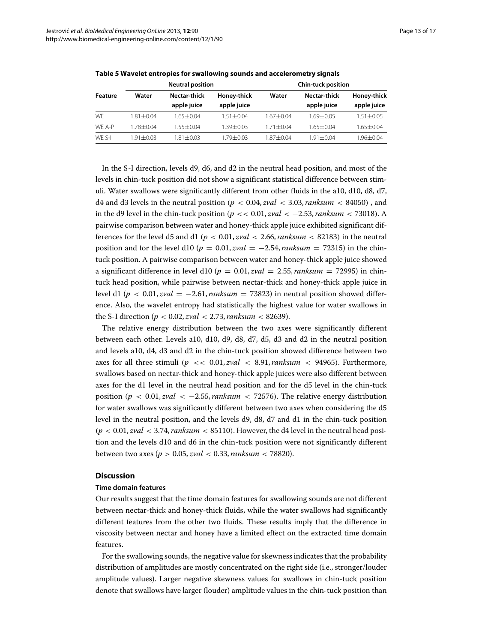<span id="page-12-0"></span>

|         | <b>Neutral position</b> |               |               | <b>Chin-tuck position</b> |               |                 |  |
|---------|-------------------------|---------------|---------------|---------------------------|---------------|-----------------|--|
| Feature | Water                   | Nectar-thick  | Honey-thick   | Water                     | Nectar-thick  | Honey-thick     |  |
|         |                         | apple juice   | apple juice   |                           | apple juice   | apple juice     |  |
| WF      | $1.81 + 0.04$           | $1.65 + 0.04$ | $1.51 + 0.04$ | 1.67+0.04                 | $1.69 + 0.05$ | $1.51 + 0.05$   |  |
| WF A-P  | 1.78 + 0.04             | $1.55 + 0.04$ | 1.39+0.03     | 1.71±0.04                 | $1.65 + 0.04$ | $1.65 \pm 0.04$ |  |
| WF S-I  | $1.91 + 0.03$           | $1.81 + 0.03$ | 1.79+0.03     | 1.87+0.04                 | 1.91+0.04     | 1.96±0.04       |  |

**Table 5 Wavelet entropies for swallowing sounds and accelerometry signals**

In the S-I direction, levels d9, d6, and d2 in the neutral head position, and most of the levels in chin-tuck position did not show a significant statistical difference between stimuli. Water swallows were significantly different from other fluids in the a10, d10, d8, d7, d4 and d3 levels in the neutral position  $(p < 0.04, zval < 3.03, ranksum < 84050)$ , and in the d9 level in the chin-tuck position  $(p \lt 0.01, zval \lt -2.53, ranksum \lt 73018)$ . A pairwise comparison between water and honey-thick apple juice exhibited significant differences for the level d5 and d1 ( $p < 0.01$ ,  $zval < 2.66$ ,  $ranksum < 82183$ ) in the neutral position and for the level d10 ( $p = 0.01$ , *zval* = −2.54, *ranksum* = 72315) in the chintuck position. A pairwise comparison between water and honey-thick apple juice showed a significant difference in level d10 ( $p = 0.01$ , *zval* = 2.55, *ranksum* = 72995) in chintuck head position, while pairwise between nectar-thick and honey-thick apple juice in level d1 ( $p < 0.01$ , *zval* = −2.61, *ranksum* = 73823) in neutral position showed difference. Also, the wavelet entropy had statistically the highest value for water swallows in the S-I direction ( $p < 0.02$ , *zval*  $< 2.73$ , *ranksum*  $< 82639$ ).

The relative energy distribution between the two axes were significantly different between each other. Levels a10, d10, d9, d8, d7, d5, d3 and d2 in the neutral position and levels a10, d4, d3 and d2 in the chin-tuck position showed difference between two axes for all three stimuli  $(p \ll 0.01, zval \ll 8.91, ranksum \ll 94965)$ . Furthermore, swallows based on nectar-thick and honey-thick apple juices were also different between axes for the d1 level in the neutral head position and for the d5 level in the chin-tuck position  $(p < 0.01, zval < -2.55,$ *ranksum*  $<$  72576). The relative energy distribution for water swallows was significantly different between two axes when considering the d5 level in the neutral position, and the levels d9, d8, d7 and d1 in the chin-tuck position  $(p < 0.01, zval < 3.74, ranksum < 85110)$ . However, the d4 level in the neutral head position and the levels d10 and d6 in the chin-tuck position were not significantly different between two axes (*p >* 0.05, *zval <* 0.33,*ranksum <* 78820).

# **Discussion**

#### **Time domain features**

Our results suggest that the time domain features for swallowing sounds are not different between nectar-thick and honey-thick fluids, while the water swallows had significantly different features from the other two fluids. These results imply that the difference in viscosity between nectar and honey have a limited effect on the extracted time domain features.

For the swallowing sounds, the negative value for skewness indicates that the probability distribution of amplitudes are mostly concentrated on the right side (i.e., stronger/louder amplitude values). Larger negative skewness values for swallows in chin-tuck position denote that swallows have larger (louder) amplitude values in the chin-tuck position than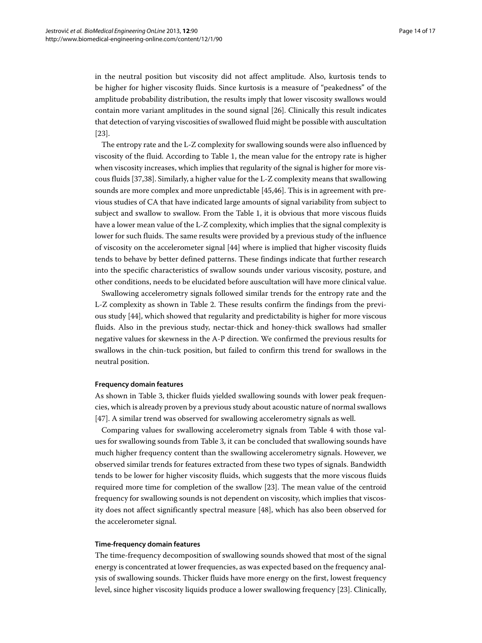in the neutral position but viscosity did not affect amplitude. Also, kurtosis tends to be higher for higher viscosity fluids. Since kurtosis is a measure of "peakedness" of the amplitude probability distribution, the results imply that lower viscosity swallows would contain more variant amplitudes in the sound signal [\[26\]](#page-16-3). Clinically this result indicates that detection of varying viscosities of swallowed fluid might be possible with auscultation [\[23\]](#page-16-0).

The entropy rate and the L-Z complexity for swallowing sounds were also influenced by viscosity of the fluid. According to Table [1,](#page-7-0) the mean value for the entropy rate is higher when viscosity increases, which implies that regularity of the signal is higher for more viscous fluids [\[37,](#page-16-12)[38\]](#page-16-13). Similarly, a higher value for the L-Z complexity means that swallowing sounds are more complex and more unpredictable [\[45,](#page-16-19)[46\]](#page-16-20). This is in agreement with previous studies of CA that have indicated large amounts of signal variability from subject to subject and swallow to swallow. From the Table [1,](#page-7-0) it is obvious that more viscous fluids have a lower mean value of the L-Z complexity, which implies that the signal complexity is lower for such fluids. The same results were provided by a previous study of the influence of viscosity on the accelerometer signal [\[44\]](#page-16-18) where is implied that higher viscosity fluids tends to behave by better defined patterns. These findings indicate that further research into the specific characteristics of swallow sounds under various viscosity, posture, and other conditions, needs to be elucidated before auscultation will have more clinical value.

Swallowing accelerometry signals followed similar trends for the entropy rate and the L-Z complexity as shown in Table [2.](#page-8-0) These results confirm the findings from the previous study [\[44\]](#page-16-18), which showed that regularity and predictability is higher for more viscous fluids. Also in the previous study, nectar-thick and honey-thick swallows had smaller negative values for skewness in the A-P direction. We confirmed the previous results for swallows in the chin-tuck position, but failed to confirm this trend for swallows in the neutral position.

#### **Frequency domain features**

As shown in Table [3,](#page-9-0) thicker fluids yielded swallowing sounds with lower peak frequencies, which is already proven by a previous study about acoustic nature of normal swallows [\[47\]](#page-16-21). A similar trend was observed for swallowing accelerometry signals as well.

Comparing values for swallowing accelerometry signals from Table [4](#page-10-0) with those values for swallowing sounds from Table [3,](#page-9-0) it can be concluded that swallowing sounds have much higher frequency content than the swallowing accelerometry signals. However, we observed similar trends for features extracted from these two types of signals. Bandwidth tends to be lower for higher viscosity fluids, which suggests that the more viscous fluids required more time for completion of the swallow [\[23\]](#page-16-0). The mean value of the centroid frequency for swallowing sounds is not dependent on viscosity, which implies that viscosity does not affect significantly spectral measure [\[48\]](#page-16-22), which has also been observed for the accelerometer signal.

#### **Time-frequency domain features**

The time-frequency decomposition of swallowing sounds showed that most of the signal energy is concentrated at lower frequencies, as was expected based on the frequency analysis of swallowing sounds. Thicker fluids have more energy on the first, lowest frequency level, since higher viscosity liquids produce a lower swallowing frequency [\[23\]](#page-16-0). Clinically,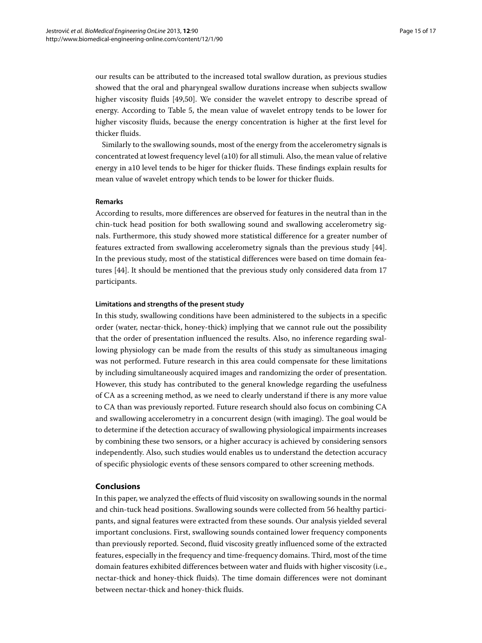our results can be attributed to the increased total swallow duration, as previous studies showed that the oral and pharyngeal swallow durations increase when subjects swallow higher viscosity fluids [\[49](#page-16-23)[,50\]](#page-16-24). We consider the wavelet entropy to describe spread of energy. According to Table [5,](#page-12-0) the mean value of wavelet entropy tends to be lower for higher viscosity fluids, because the energy concentration is higher at the first level for thicker fluids.

Similarly to the swallowing sounds, most of the energy from the accelerometry signals is concentrated at lowest frequency level (a10) for all stimuli. Also, the mean value of relative energy in a10 level tends to be higer for thicker fluids. These findings explain results for mean value of wavelet entropy which tends to be lower for thicker fluids.

#### **Remarks**

According to results, more differences are observed for features in the neutral than in the chin-tuck head position for both swallowing sound and swallowing accelerometry signals. Furthermore, this study showed more statistical difference for a greater number of features extracted from swallowing accelerometry signals than the previous study [\[44\]](#page-16-18). In the previous study, most of the statistical differences were based on time domain features [\[44\]](#page-16-18). It should be mentioned that the previous study only considered data from 17 participants.

# **Limitations and strengths of the present study**

In this study, swallowing conditions have been administered to the subjects in a specific order (water, nectar-thick, honey-thick) implying that we cannot rule out the possibility that the order of presentation influenced the results. Also, no inference regarding swallowing physiology can be made from the results of this study as simultaneous imaging was not performed. Future research in this area could compensate for these limitations by including simultaneously acquired images and randomizing the order of presentation. However, this study has contributed to the general knowledge regarding the usefulness of CA as a screening method, as we need to clearly understand if there is any more value to CA than was previously reported. Future research should also focus on combining CA and swallowing accelerometry in a concurrent design (with imaging). The goal would be to determine if the detection accuracy of swallowing physiological impairments increases by combining these two sensors, or a higher accuracy is achieved by considering sensors independently. Also, such studies would enables us to understand the detection accuracy of specific physiologic events of these sensors compared to other screening methods.

#### **Conclusions**

In this paper, we analyzed the effects of fluid viscosity on swallowing sounds in the normal and chin-tuck head positions. Swallowing sounds were collected from 56 healthy participants, and signal features were extracted from these sounds. Our analysis yielded several important conclusions. First, swallowing sounds contained lower frequency components than previously reported. Second, fluid viscosity greatly influenced some of the extracted features, especially in the frequency and time-frequency domains. Third, most of the time domain features exhibited differences between water and fluids with higher viscosity (i.e., nectar-thick and honey-thick fluids). The time domain differences were not dominant between nectar-thick and honey-thick fluids.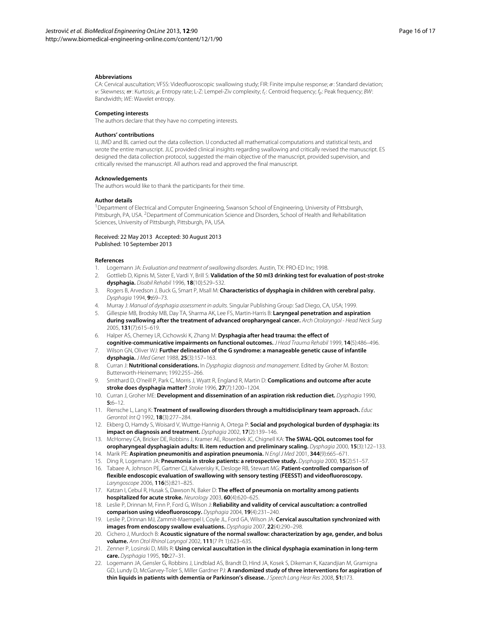#### **Abbreviations**

CA: Cervical auscultation; VFSS: Videofluoroscopic swallowing study; FIR: Finite impulse response; *σ*: Standard deviation; *ν*: Skewness;  $\sigma$ : Kurtosis;  $\rho$ : Entropy rate; L-Z: Lempel-Ziv complexity;  $f_c$ : Centroid frequency;  $f_b$ : Peak frequency; BW: Bandwidth; WE: Wavelet entropy.

#### **Competing interests**

The authors declare that they have no competing interests.

#### **Authors' contributions**

IJ, JMD and BL carried out the data collection. IJ conducted all mathematical computations and statistical tests, and wrote the entire manuscript. JLC provided clinical insights regarding swallowing and critically revised the manuscript. ES designed the data collection protocol, suggested the main objective of the manuscript, provided supervision, and critically revised the manuscript. All authors read and approved the final manuscript.

#### **Acknowledgements**

The authors would like to thank the participants for their time.

#### **Author details**

1Department of Electrical and Computer Engineering, Swanson School of Engineering, University of Pittsburgh, Pittsburgh, PA, USA. <sup>2</sup>Department of Communication Science and Disorders, School of Health and Rehabilitation Sciences, University of Pittsburgh, Pittsburgh, PA, USA.

#### Received: 22 May 2013 Accepted: 30 August 2013 Published: 10 September 2013

#### **References**

- <span id="page-15-0"></span>1. Logemann JA: Evaluation and treatment of swallowing disorders. Austin, TX: PRO-ED Inc; 1998.
- <span id="page-15-1"></span>2. Gottlieb D, Kipnis M, Sister E, Vardi Y, Brill S: **Validation of the 50 ml3 drinking test for evaluation of post-stroke dysphagia.** Disabil Rehabil 1996, **18**(10):529–532.
- <span id="page-15-2"></span>3. Rogers B, Arvedson J, Buck G, Smart P, Msall M: **Characteristics of dysphagia in children with cerebral palsy.** Dysphagia 1994, **9:**69–73.
- <span id="page-15-3"></span>4. Murray J: Manual of dysphagia assessment in adults. Singular Publishing Group: Sad Diego, CA, USA; 1999.
- <span id="page-15-4"></span>5. Gillespie MB, Brodsky MB, Day TA, Sharma AK, Lee FS, Martin-Harris B: **Laryngeal penetration and aspiration during swallowing after the treatment of advanced oropharyngeal cancer.** Arch Otolaryngol - Head Neck Surg 2005, **131**(7):615–619.
- <span id="page-15-5"></span>6. Halper AS, Cherney LR, Cichowski K, Zhang M: **Dysphagia after head trauma: the effect of**
- <span id="page-15-6"></span>**cognitive-communicative impairments on functional outcomes.** J Head Trauma Rehabil 1999, **14**(5):486–496. 7. Wilson GN, Oliver WJ: **Further delineation of the G syndrome: a manageable genetic cause of infantile dysphagia.** J Med Genet 1988, **25**(3):157–163.
- <span id="page-15-7"></span>8. Curran J: **Nutritional considerations.** In Dysphagia: diagnosis and management. Edited by Groher M. Boston: Butterworth-Heinemann; 1992:255–266.
- <span id="page-15-8"></span>9. Smithard D, O'neill P, Park C, Morris J, Wyatt R, England R, Martin D: **Complications and outcome after acute stroke does dysphagia matter?** Stroke 1996, **27**(7):1200–1204.
- <span id="page-15-9"></span>10. Curran J, Groher ME: **Development and dissemination of an aspiration risk reduction diet.** Dysphagia 1990, **5:**6–12.
- <span id="page-15-10"></span>11. Riensche L, Lang K: **Treatment of swallowing disorders through a multidisciplinary team approach.** Educ Gerontol: Int Q 1992, **18**(3):277–284.
- <span id="page-15-11"></span>12. Ekberg O, Hamdy S, Woisard V, Wuttge-Hannig A, Ortega P: **Social and psychological burden of dysphagia: its impact on diagnosis and treatment.** Dysphagia 2002, **17**(2):139–146.
- <span id="page-15-12"></span>13. McHorney CA, Bricker DE, Robbins J, Kramer AE, Rosenbek JC, Chignell KA: **The SWAL-QOL outcomes tool for oropharyngeal dysphagiain adults: II. item reduction and preliminary scaling.** Dysphagia 2000, **15**(3):122–133.
- <span id="page-15-13"></span>14. Marik PE: **Aspiration pneumonitis and aspiration pneumonia.** N Engl J Med 2001, **344**(9):665–671.
- <span id="page-15-14"></span>15. Ding R, Logemann JA: **Pneumonia in stroke patients: a retrospective study.** Dysphagia 2000, **15**(2):51–57.
- <span id="page-15-15"></span>16. Tabaee A, Johnson PE, Gartner CJ, Kalwerisky K, Desloge RB, Stewart MG: **Patient-controlled comparison of flexible endoscopic evaluation of swallowing with sensory testing (FEESST) and videofluoroscopy.** Laryngoscope 2006, **116**(5):821–825.
- <span id="page-15-16"></span>17. Katzan I, Cebul R, Husak S, Dawson N, Baker D: **The effect of pneumonia on mortality among patients hospitalized for acute stroke.** Neurology 2003, **60**(4):620–625.
- <span id="page-15-17"></span>18. Leslie P, Drinnan M, Finn P, Ford G, Wilson J: **Reliability and validity of cervical auscultation: a controlled comparison using videofluoroscopy.** Dysphagia 2004, **19**(4):231–240.
- <span id="page-15-18"></span>19. Leslie P, Drinnan MJ, Zammit-Maempel I, Coyle JL, Ford GA, Wilson JA: **Cervical auscultation synchronized with images from endoscopy swallow evaluations.** Dysphagia 2007, **22**(4):290–298.
- <span id="page-15-19"></span>20. Cichero J, Murdoch B: **Acoustic signature of the normal swallow: characterization by age, gender, and bolus volume.** Ann Otol Rhinol Laryngol 2002, **111**(7 Pt 1):623–635.
- <span id="page-15-20"></span>21. Zenner P, Losinski D, Mills R: **Using cervical auscultation in the clinical dysphagia examination in long-term care.** Dysphagia 1995, **10:**27–31.
- <span id="page-15-21"></span>22. Logemann JA, Gensler G, Robbins J, Lindblad AS, Brandt D, Hind JA, Kosek S, Dikeman K, Kazandjian M, Gramigna GD, Lundy D, McGarvey-Toler S, Miller Gardner PJ: **A randomized study of three interventions for aspiration of thin liquids in patients with dementia or Parkinson's disease.** J Speech Lang Hear Res 2008, **51:**173.